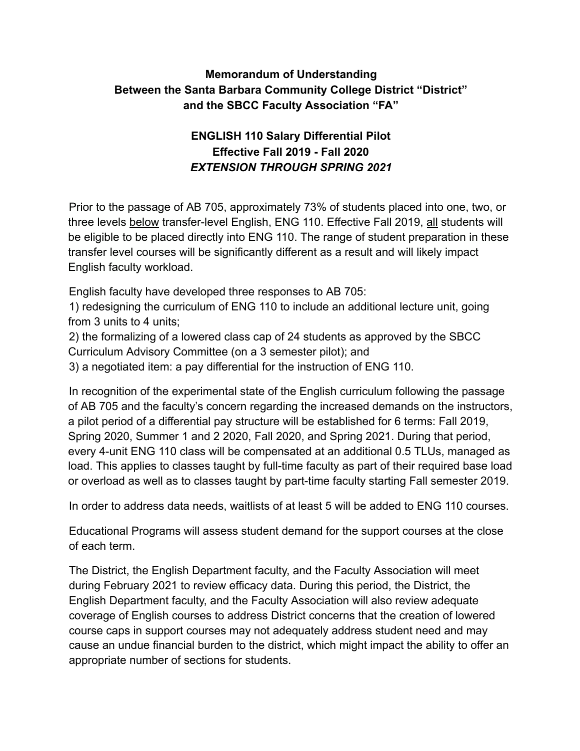### **Memorandum of Understanding Between the Santa Barbara Community College District "District" and the SBCC Faculty Association "FA"**

## **ENGLISH 110 Salary Differential Pilot Effective Fall 2019 - Fall 2020**  *EXTENSION THROUGH SPRING 2021*

Prior to the passage of AB 705, approximately 73% of students placed into one, two, or three levels below transfer-level English, ENG 110. Effective Fall 2019, all students will be eligible to be placed directly into ENG 110. The range of student preparation in these transfer level courses will be significantly different as a result and will likely impact English faculty workload.

English faculty have developed three responses to AB 705:

1) redesigning the curriculum of ENG 110 to include an additional lecture unit, going from 3 units to 4 units;

2) the formalizing of a lowered class cap of 24 students as approved by the SBCC Curriculum Advisory Committee (on a 3 semester pilot); and

3) a negotiated item: a pay differential for the instruction of ENG 110.

In recognition of the experimental state of the English curriculum following the passage of AB 705 and the faculty's concern regarding the increased demands on the instructors, a pilot period of a differential pay structure will be established for 6 terms: Fall 2019, Spring 2020, Summer 1 and 2 2020, Fall 2020, and Spring 2021. During that period, every 4-unit ENG 110 class will be compensated at an additional 0.5 TLUs, managed as load. This applies to classes taught by full-time faculty as part of their required base load or overload as well as to classes taught by part-time faculty starting Fall semester 2019.

In order to address data needs, waitlists of at least 5 will be added to ENG 110 courses.

Educational Programs will assess student demand for the support courses at the close of each term.

The District, the English Department faculty, and the Faculty Association will meet during February 2021 to review efficacy data. During this period, the District, the English Department faculty, and the Faculty Association will also review adequate coverage of English courses to address District concerns that the creation of lowered course caps in support courses may not adequately address student need and may cause an undue financial burden to the district, which might impact the ability to offer an appropriate number of sections for students.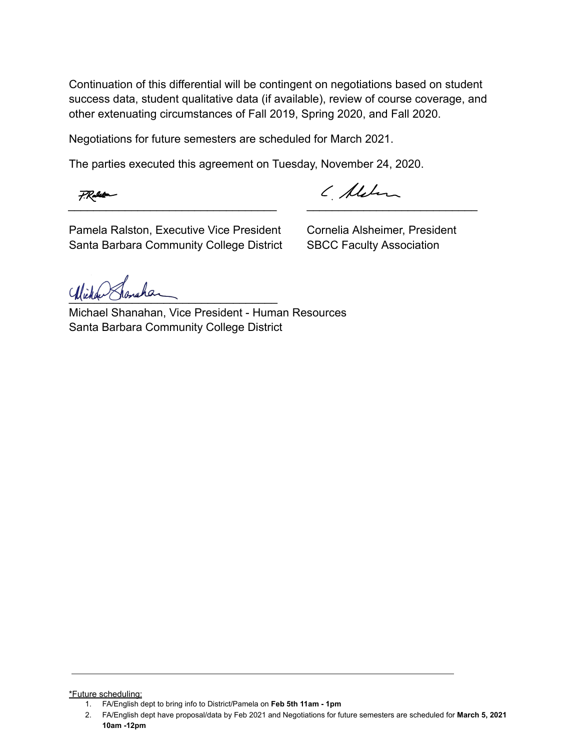Continuation of this differential will be contingent on negotiations based on student success data, student qualitative data (if available), review of course coverage, and other extenuating circumstances of Fall 2019, Spring 2020, and Fall 2020.

Negotiations for future semesters are scheduled for March 2021.

The parties executed this agreement on Tuesday, November 24, 2020.

( Alden  $\overline{\phantom{a}}$  , and the contribution of the contribution of  $\overline{\phantom{a}}$  , and  $\overline{\phantom{a}}$  , and  $\overline{\phantom{a}}$  , and  $\overline{\phantom{a}}$  , and  $\overline{\phantom{a}}$  , and  $\overline{\phantom{a}}$  , and  $\overline{\phantom{a}}$  , and  $\overline{\phantom{a}}$  , and  $\overline{\phantom{a}}$  , and

Pamela Ralston, Executive Vice President Cornelia Alsheimer, President Santa Barbara Community College District SBCC Faculty Association

Wichen Shanahan

Michael Shanahan, Vice President - Human Resources Santa Barbara Community College District

#### \*Future scheduling:

<sup>1.</sup> FA/English dept to bring info to District/Pamela on **Feb 5th 11am - 1pm**

<sup>2.</sup> FA/English dept have proposal/data by Feb 2021 and Negotiations for future semesters are scheduled for **March 5, 2021 10am -12pm**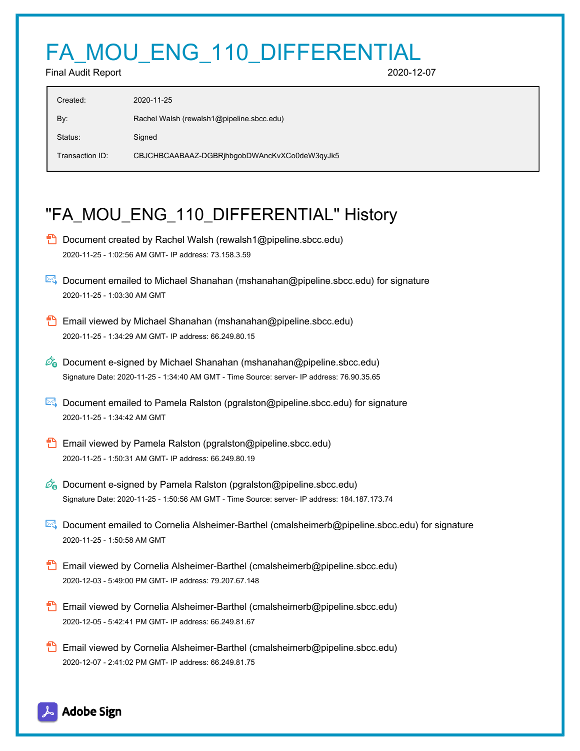# FA\_MOU\_ENG\_110\_DIFFERENTIAL

Final Audit Report 2020-12-07

| Created:        | 2020-11-25                                   |
|-----------------|----------------------------------------------|
| By:             | Rachel Walsh (rewalsh1@pipeline.sbcc.edu)    |
| Status:         | Signed                                       |
| Transaction ID: | CBJCHBCAABAAZ-DGBRihbgobDWAncKvXCo0deW3qyJk5 |

# "FA\_MOU\_ENG\_110\_DIFFERENTIAL" History

- **D** Document created by Rachel Walsh (rewalsh1@pipeline.sbcc.edu) 2020-11-25 - 1:02:56 AM GMT- IP address: 73.158.3.59
- Document emailed to Michael Shanahan (mshanahan@pipeline.sbcc.edu) for signature 2020-11-25 - 1:03:30 AM GMT
- Email viewed by Michael Shanahan (mshanahan@pipeline.sbcc.edu) 2020-11-25 - 1:34:29 AM GMT- IP address: 66.249.80.15
- $\mathscr{O}_\bullet$  Document e-signed by Michael Shanahan (mshanahan@pipeline.sbcc.edu) Signature Date: 2020-11-25 - 1:34:40 AM GMT - Time Source: server- IP address: 76.90.35.65
- Document emailed to Pamela Ralston (pgralston@pipeline.sbcc.edu) for signature 2020-11-25 - 1:34:42 AM GMT
- **Email viewed by Pamela Ralston (pgralston@pipeline.sbcc.edu)** 2020-11-25 - 1:50:31 AM GMT- IP address: 66.249.80.19
- $\mathscr{O}_0$  Document e-signed by Pamela Ralston (pgralston@pipeline.sbcc.edu) Signature Date: 2020-11-25 - 1:50:56 AM GMT - Time Source: server- IP address: 184.187.173.74
- Document emailed to Cornelia Alsheimer-Barthel (cmalsheimerb@pipeline.sbcc.edu) for signature 2020-11-25 - 1:50:58 AM GMT
- **Email viewed by Cornelia Alsheimer-Barthel (cmalsheimerb@pipeline.sbcc.edu)** 2020-12-03 - 5:49:00 PM GMT- IP address: 79.207.67.148
- **Email viewed by Cornelia Alsheimer-Barthel (cmalsheimerb@pipeline.sbcc.edu)** 2020-12-05 - 5:42:41 PM GMT- IP address: 66.249.81.67
- **Email viewed by Cornelia Alsheimer-Barthel (cmalsheimerb@pipeline.sbcc.edu)** 2020-12-07 - 2:41:02 PM GMT- IP address: 66.249.81.75